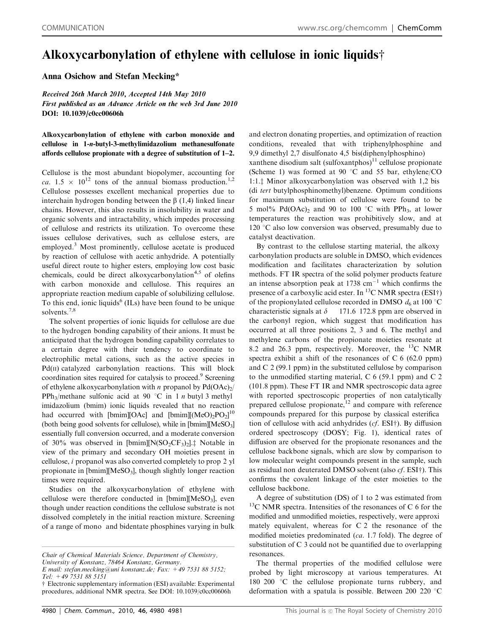## Alkoxycarbonylation of ethylene with cellulose in ionic liquids $\dagger$

Anna Osichow and Stefan Mecking\*

Received 26th March 2010, Accepted 14th May 2010 First published as an Advance Article on the web 3rd June 2010 DOI: 10.1039/c0cc00606h

Alkoxycarbonylation of ethylene with carbon monoxide and cellulose in 1-n-butyl-3-methylimidazolium methanesulfonate affords cellulose propionate with a degree of substitution of 1–2.

Cellulose is the most abundant biopolymer, accounting for ca.  $1.5 \times 10^{12}$  tons of the annual biomass production.<sup>1,2</sup> Cellulose possesses excellent mechanical properties due to interchain hydrogen bonding between the  $\beta$  (1,4) linked linear chains. However, this also results in insolubility in water and organic solvents and intractability, which impedes processing of cellulose and restricts its utilization. To overcome these issues cellulose derivatives, such as cellulose esters, are employed.<sup>3</sup> Most prominently, cellulose acetate is produced by reaction of cellulose with acetic anhydride. A potentially useful direct route to higher esters, employing low cost basic chemicals, could be direct alkoxycarbonylation<sup>4,5</sup> of olefins with carbon monoxide and cellulose. This requires an appropriate reaction medium capable of solubilizing cellulose. To this end, ionic liquids<sup> $6$ </sup> (ILs) have been found to be unique solvents.<sup>7,8</sup>

The solvent properties of ionic liquids for cellulose are due to the hydrogen bonding capability of their anions. It must be anticipated that the hydrogen bonding capability correlates to a certain degree with their tendency to coordinate to electrophilic metal cations, such as the active species in  $Pd(II)$  catalyzed carbonylation reactions. This will block coordination sites required for catalysis to proceed.<sup>9</sup> Screening of ethylene alkoxycarbonylation with *n* propanol by  $Pd(OAc)_{2}/$ PPh<sub>3</sub>/methane sulfonic acid at 90 °C in 1 *n* butyl 3 methyl imidazolium (bmim) ionic liquids revealed that no reaction had occurred with [bmim][OAc] and [bmim][(MeO)<sub>2</sub>PO<sub>2</sub>]<sup>10</sup> (both being good solvents for cellulose), while in  $[bmin][MeSO_3]$ essentially full conversion occurred, and a moderate conversion of 30% was observed in  $[bmin][N(SO_2CF_3)_2]$ .<sup>†</sup> Notable in view of the primary and secondary OH moieties present in cellulose, i propanol was also converted completely to prop 2 yl propionate in  $[bmin][MeSO_3]$ , though slightly longer reaction times were required.

Studies on the alkoxycarbonylation of ethylene with cellulose were therefore conducted in  $[bmin][MeSO_3]$ , even though under reaction conditions the cellulose substrate is not dissolved completely in the initial reaction mixture. Screening of a range of mono and bidentate phosphines varying in bulk

E mail: stefan.mecking@uni konstanz.de; Fax: +49 7531 88 5152; Tel: +49 7531 88 5151

and electron donating properties, and optimization of reaction conditions, revealed that with triphenylphosphine and 9,9 dimethyl 2,7 disulfonato 4,5 bis(diphenylphosphino) xanthene disodium salt (sulfoxantphos) $11$  cellulose propionate (Scheme 1) was formed at 90  $^{\circ}$ C and 55 bar, ethylene/CO 1:1.<sup> $\pm$ </sup> Minor alkoxycarbonylation was observed with 1,2 bis (di tert butylphosphinomethyl)benzene. Optimum conditions for maximum substitution of cellulose were found to be 5 mol% Pd(OAc)<sub>2</sub> and 90 to 100  $\degree$ C with PPh<sub>3</sub>, at lower temperatures the reaction was prohibitively slow, and at  $120$  °C also low conversion was observed, presumably due to catalyst deactivation.

By contrast to the cellulose starting material, the alkoxy carbonylation products are soluble in DMSO, which evidences modification and facilitates characterization by solution methods. FT IR spectra of the solid polymer products feature an intense absorption peak at 1738 cm<sup>-1</sup> which confirms the presence of a carboxylic acid ester. In  $^{13}$ C NMR spectra (ESI†) of the propionylated cellulose recorded in DMSO  $d_6$  at 100 °C characteristic signals at  $\delta$  171.6 172.8 ppm are observed in the carbonyl region, which suggest that modification has occurred at all three positions 2, 3 and 6. The methyl and methylene carbons of the propionate moieties resonate at 8.2 and 26.3 ppm, respectively. Moreover, the  $^{13}$ C NMR spectra exhibit a shift of the resonances of C 6 (62.0 ppm) and C 2 (99.1 ppm) in the substituted cellulose by comparison to the unmodified starting material, C 6 (59.1 ppm) and C 2 (101.8 ppm). These FT IR and NMR spectroscopic data agree with reported spectroscopic properties of non catalytically prepared cellulose propionate,<sup>12</sup> and compare with reference compounds prepared for this purpose by classical esterifica tion of cellulose with acid anhydrides ( $cf.$  ESI $\dagger$ ). By diffusion ordered spectroscopy (DOSY; Fig. 1), identical rates of diffusion are observed for the propionate resonances and the cellulose backbone signals, which are slow by comparison to low molecular weight compounds present in the sample, such as residual non deuterated DMSO solvent (also  $cf.$  ESI $\dagger$ ). This confirms the covalent linkage of the ester moieties to the cellulose backbone.

A degree of substitution (DS) of 1 to 2 was estimated from  $13C$  NMR spectra. Intensities of the resonances of C 6 for the modified and unmodified moieties, respectively, were approxi mately equivalent, whereas for C 2 the resonance of the modified moieties predominated (ca. 1.7 fold). The degree of substitution of C 3 could not be quantified due to overlapping resonances.

The thermal properties of the modified cellulose were probed by light microscopy at various temperatures. At 180 200  $\degree$ C the cellulose propionate turns rubbery, and deformation with a spatula is possible. Between 200 220  $\degree$ C

Chair of Chemical Materials Science, Department of Chemistry, University of Konstanz, 78464 Konstanz, Germany.

 $\dagger$  Electronic supplementary information (ESI) available: Experimental procedures, additional NMR spectra. See DOI: 10.1039/c0cc00606h